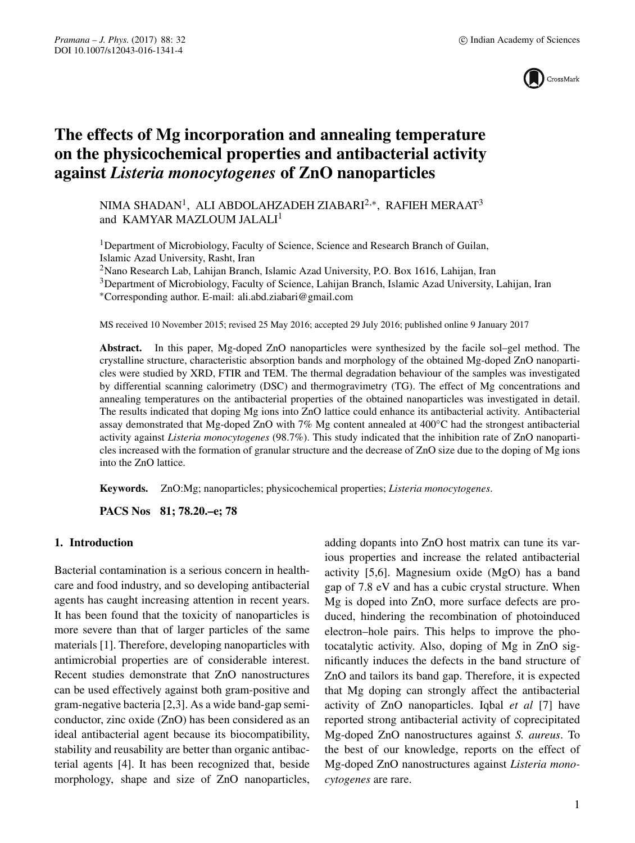

# **The effects of Mg incorporation and annealing temperature on the physicochemical properties and antibacterial activity against** *Listeria monocytogenes* **of ZnO nanoparticles**

NIMA SHADAN<sup>1</sup>, ALI ABDOLAHZADEH ZIABARI<sup>2,\*</sup>, RAFIEH MERAAT<sup>3</sup> and KAMYAR MAZLOUM JALALI<sup>1</sup>

<sup>1</sup>Department of Microbiology, Faculty of Science, Science and Research Branch of Guilan, Islamic Azad University, Rasht, Iran

2Nano Research Lab, Lahijan Branch, Islamic Azad University, P.O. Box 1616, Lahijan, Iran

<sup>3</sup>Department of Microbiology, Faculty of Science, Lahijan Branch, Islamic Azad University, Lahijan, Iran

∗Corresponding author. E-mail: ali.abd.ziabari@gmail.com

MS received 10 November 2015; revised 25 May 2016; accepted 29 July 2016; published online 9 January 2017

**Abstract.** In this paper, Mg-doped ZnO nanoparticles were synthesized by the facile sol–gel method. The crystalline structure, characteristic absorption bands and morphology of the obtained Mg-doped ZnO nanoparticles were studied by XRD, FTIR and TEM. The thermal degradation behaviour of the samples was investigated by differential scanning calorimetry (DSC) and thermogravimetry (TG). The effect of Mg concentrations and annealing temperatures on the antibacterial properties of the obtained nanoparticles was investigated in detail. The results indicated that doping Mg ions into ZnO lattice could enhance its antibacterial activity. Antibacterial assay demonstrated that Mg-doped ZnO with 7% Mg content annealed at 400◦C had the strongest antibacterial activity against *Listeria monocytogenes* (98.7%). This study indicated that the inhibition rate of ZnO nanoparticles increased with the formation of granular structure and the decrease of ZnO size due to the doping of Mg ions into the ZnO lattice.

**Keywords.** ZnO:Mg; nanoparticles; physicochemical properties; *Listeria monocytogenes*.

**PACS Nos 81; 78.20.–e; 78**

# **1. Introduction**

Bacterial contamination is a serious concern in healthcare and food industry, and so developing antibacterial agents has caught increasing attention in recent years. It has been found that the toxicity of nanoparticles is more severe than that of larger particles of the same materials [1]. Therefore, developing nanoparticles with antimicrobial properties are of considerable interest. Recent studies demonstrate that ZnO nanostructures can be used effectively against both gram-positive and gram-negative bacteria [2,3]. As a wide band-gap semiconductor, zinc oxide (ZnO) has been considered as an ideal antibacterial agent because its biocompatibility, stability and reusability are better than organic antibacterial agents [4]. It has been recognized that, beside morphology, shape and size of ZnO nanoparticles,

adding dopants into ZnO host matrix can tune its various properties and increase the related antibacterial activity [5,6]. Magnesium oxide (MgO) has a band gap of 7.8 eV and has a cubic crystal structure. When Mg is doped into ZnO, more surface defects are produced, hindering the recombination of photoinduced electron–hole pairs. This helps to improve the photocatalytic activity. Also, doping of Mg in ZnO significantly induces the defects in the band structure of ZnO and tailors its band gap. Therefore, it is expected that Mg doping can strongly affect the antibacterial activity of ZnO nanoparticles. Iqbal *et al* [7] have reported strong antibacterial activity of coprecipitated Mg-doped ZnO nanostructures against *S. aureus*. To the best of our knowledge, reports on the effect of Mg-doped ZnO nanostructures against *Listeria monocytogenes* are rare.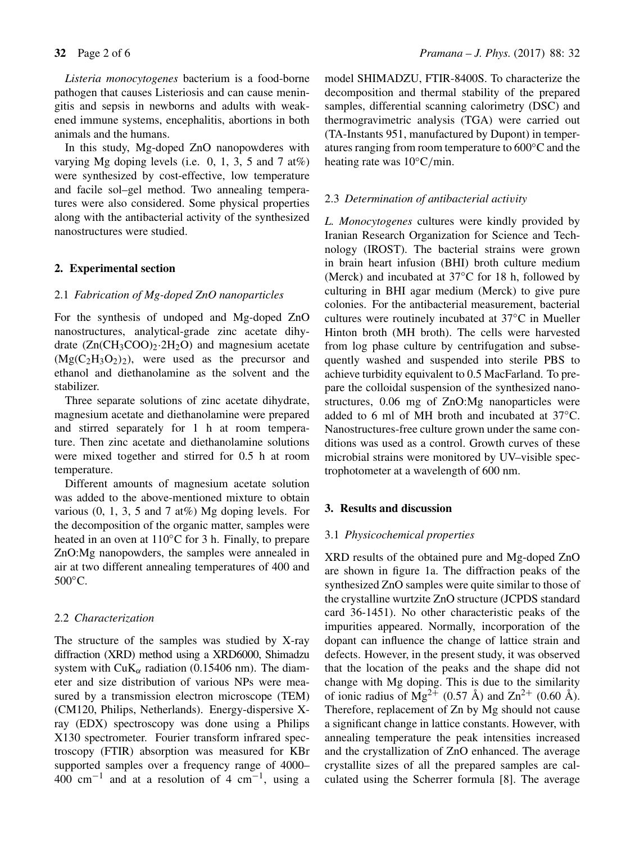*Listeria monocytogenes* bacterium is a food-borne pathogen that causes Listeriosis and can cause meningitis and sepsis in newborns and adults with weakened immune systems, encephalitis, abortions in both animals and the humans.

In this study, Mg-doped ZnO nanopowderes with varying Mg doping levels (i.e. 0, 1, 3, 5 and 7 at%) were synthesized by cost-effective, low temperature and facile sol–gel method. Two annealing temperatures were also considered. Some physical properties along with the antibacterial activity of the synthesized nanostructures were studied.

### **2. Experimental section**

# 2.1 *Fabrication of Mg-doped ZnO nanoparticles*

For the synthesis of undoped and Mg-doped ZnO nanostructures, analytical-grade zinc acetate dihydrate  $(Zn(CH_3COO)_2.2H_2O)$  and magnesium acetate  $(Mg(C_2H_3O_2)_2)$ , were used as the precursor and ethanol and diethanolamine as the solvent and the stabilizer.

Three separate solutions of zinc acetate dihydrate, magnesium acetate and diethanolamine were prepared and stirred separately for 1 h at room temperature. Then zinc acetate and diethanolamine solutions were mixed together and stirred for 0.5 h at room temperature.

Different amounts of magnesium acetate solution was added to the above-mentioned mixture to obtain various  $(0, 1, 3, 5, 5, 7, 4\%)$  Mg doping levels. For the decomposition of the organic matter, samples were heated in an oven at 110<sup>°</sup>C for 3 h. Finally, to prepare ZnO:Mg nanopowders, the samples were annealed in air at two different annealing temperatures of 400 and 500◦C.

#### 2.2 *Characterization*

The structure of the samples was studied by X-ray diffraction (XRD) method using a XRD6000, Shimadzu system with CuK<sub> $\alpha$ </sub> radiation (0.15406 nm). The diameter and size distribution of various NPs were measured by a transmission electron microscope (TEM) (CM120, Philips, Netherlands). Energy-dispersive Xray (EDX) spectroscopy was done using a Philips X130 spectrometer. Fourier transform infrared spectroscopy (FTIR) absorption was measured for KBr supported samples over a frequency range of 4000– 400 cm<sup>-1</sup> and at a resolution of 4 cm<sup>-1</sup>, using a model SHIMADZU, FTIR-8400S. To characterize the decomposition and thermal stability of the prepared samples, differential scanning calorimetry (DSC) and thermogravimetric analysis (TGA) were carried out (TA-Instants 951, manufactured by Dupont) in temperatures ranging from room temperature to 600◦C and the heating rate was 10<sup>°</sup>C/min.

#### 2.3 *Determination of antibacterial acti*v*ity*

*L. Monocytogenes* cultures were kindly provided by Iranian Research Organization for Science and Technology (IROST). The bacterial strains were grown in brain heart infusion (BHI) broth culture medium (Merck) and incubated at 37◦C for 18 h, followed by culturing in BHI agar medium (Merck) to give pure colonies. For the antibacterial measurement, bacterial cultures were routinely incubated at 37◦C in Mueller Hinton broth (MH broth). The cells were harvested from log phase culture by centrifugation and subsequently washed and suspended into sterile PBS to achieve turbidity equivalent to 0.5 MacFarland. To prepare the colloidal suspension of the synthesized nanostructures, 0.06 mg of ZnO:Mg nanoparticles were added to 6 ml of MH broth and incubated at 37◦C. Nanostructures-free culture grown under the same conditions was used as a control. Growth curves of these microbial strains were monitored by UV–visible spectrophotometer at a wavelength of 600 nm.

#### **3. Results and discussion**

#### 3.1 *Physicochemical properties*

XRD results of the obtained pure and Mg-doped ZnO are shown in figure 1a. The diffraction peaks of the synthesized ZnO samples were quite similar to those of the crystalline wurtzite ZnO structure (JCPDS standard card 36-1451). No other characteristic peaks of the impurities appeared. Normally, incorporation of the dopant can influence the change of lattice strain and defects. However, in the present study, it was observed that the location of the peaks and the shape did not change with Mg doping. This is due to the similarity of ionic radius of  $Mg^{2+}$  (0.57 Å) and  $Zn^{2+}$  (0.60 Å). Therefore, replacement of Zn by Mg should not cause a significant change in lattice constants. However, with annealing temperature the peak intensities increased and the crystallization of ZnO enhanced. The average crystallite sizes of all the prepared samples are calculated using the Scherrer formula [8]. The average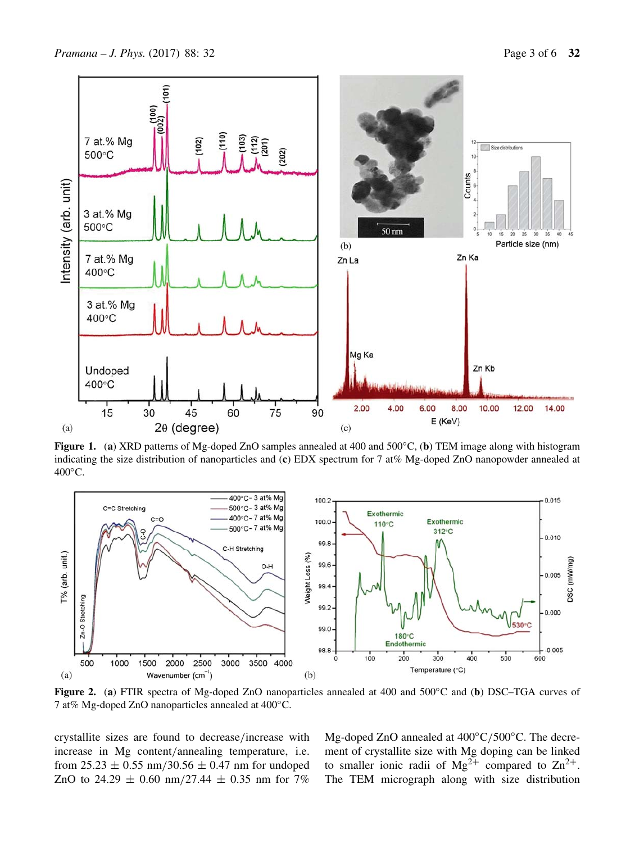

**Figure 1.** (**a**) XRD patterns of Mg-doped ZnO samples annealed at 400 and 500◦C, (**b**) TEM image along with histogram indicating the size distribution of nanoparticles and (**c**) EDX spectrum for 7 at% Mg-doped ZnO nanopowder annealed at 400°C.



**Figure 2.** (**a**) FTIR spectra of Mg-doped ZnO nanoparticles annealed at 400 and 500◦C and (**b**) DSC–TGA curves of 7 at% Mg-doped ZnO nanoparticles annealed at 400◦C.

crystallite sizes are found to decrease/increase with increase in Mg content/annealing temperature, i.e. from  $25.23 \pm 0.55$  nm/30.56  $\pm$  0.47 nm for undoped ZnO to 24.29  $\pm$  0.60 nm/27.44  $\pm$  0.35 nm for 7%

Mg-doped ZnO annealed at 400°C/500°C. The decrement of crystallite size with Mg doping can be linked to smaller ionic radii of  $Mg^{2+}$  compared to  $Zn^{2+}$ . The TEM micrograph along with size distribution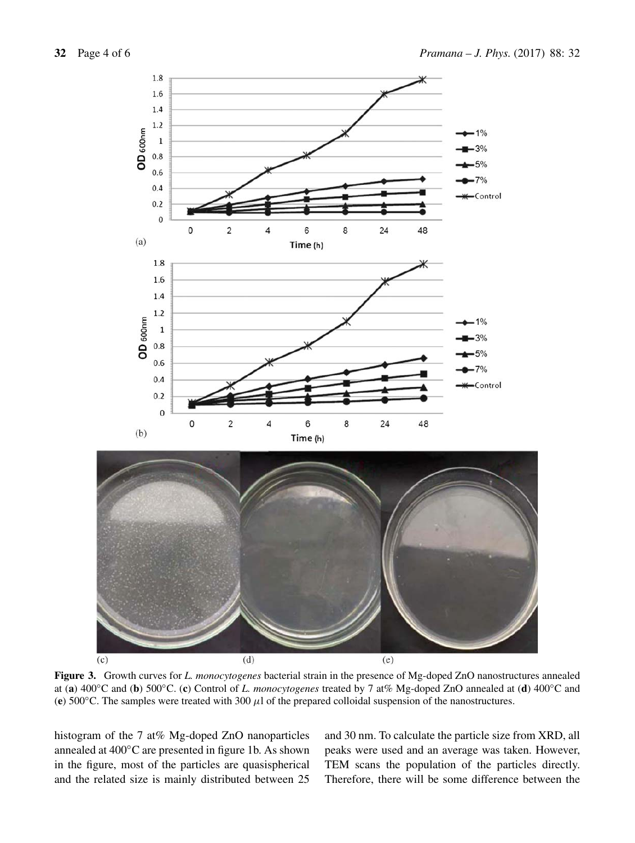

**Figure 3.** Growth curves for *L. monocytogenes* bacterial strain in the presence of Mg-doped ZnO nanostructures annealed at (**a**) 400◦C and (**b**) 500◦C. (**c**) Control of *L. monocytogenes* treated by 7 at% Mg-doped ZnO annealed at (**d**) 400◦C and (**e**) 500 $^{\circ}$ C. The samples were treated with 300  $\mu$ l of the prepared colloidal suspension of the nanostructures.

histogram of the 7 at% Mg-doped ZnO nanoparticles annealed at 400◦C are presented in figure 1b. As shown in the figure, most of the particles are quasispherical and the related size is mainly distributed between 25 and 30 nm. To calculate the particle size from XRD, all peaks were used and an average was taken. However, TEM scans the population of the particles directly. Therefore, there will be some difference between the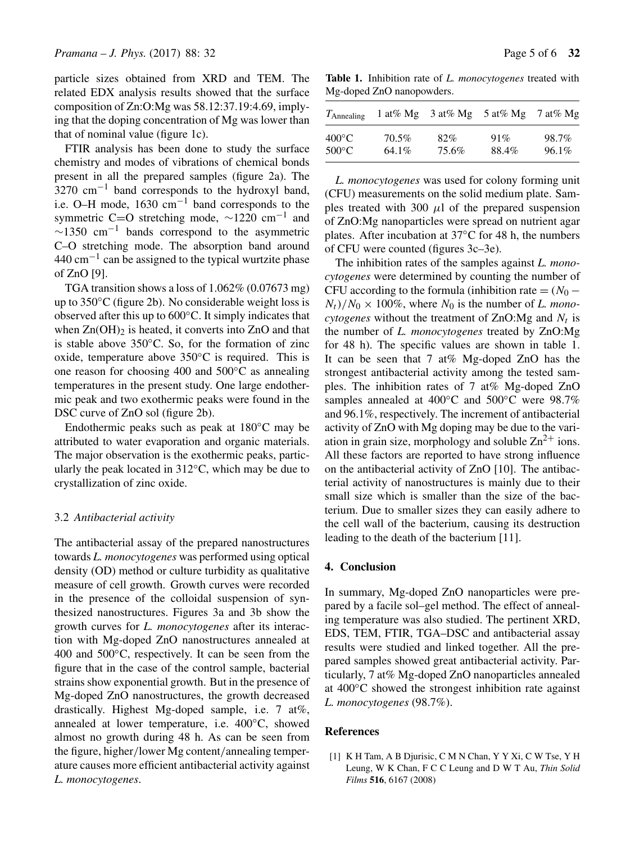particle sizes obtained from XRD and TEM. The related EDX analysis results showed that the surface composition of Zn:O:Mg was 58.12:37.19:4.69, implying that the doping concentration of Mg was lower than that of nominal value (figure 1c).

FTIR analysis has been done to study the surface chemistry and modes of vibrations of chemical bonds present in all the prepared samples (figure 2a). The  $3270 \text{ cm}^{-1}$  band corresponds to the hydroxyl band, i.e. O–H mode, 1630 cm−<sup>1</sup> band corresponds to the symmetric C=O stretching mode,  $\sim$ 1220 cm<sup>-1</sup> and  $\sim$ 1350 cm<sup>-1</sup> bands correspond to the asymmetric C–O stretching mode. The absorption band around  $440 \text{ cm}^{-1}$  can be assigned to the typical wurtzite phase of ZnO [9].

TGA transition shows a loss of 1.062% (0.07673 mg) up to 350◦C (figure 2b). No considerable weight loss is observed after this up to 600◦C. It simply indicates that when  $Zn(OH)_2$  is heated, it converts into  $ZnO$  and that is stable above  $350^{\circ}$ C. So, for the formation of zinc oxide, temperature above  $350^{\circ}$ C is required. This is one reason for choosing 400 and 500◦C as annealing temperatures in the present study. One large endothermic peak and two exothermic peaks were found in the DSC curve of ZnO sol (figure 2b).

Endothermic peaks such as peak at 180◦C may be attributed to water evaporation and organic materials. The major observation is the exothermic peaks, particularly the peak located in  $312^{\circ}$ C, which may be due to crystallization of zinc oxide.

#### 3.2 *Antibacterial acti*v*ity*

The antibacterial assay of the prepared nanostructures towards *L. monocytogenes* was performed using optical density (OD) method or culture turbidity as qualitative measure of cell growth. Growth curves were recorded in the presence of the colloidal suspension of synthesized nanostructures. Figures 3a and 3b show the growth curves for *L. monocytogenes* after its interaction with Mg-doped ZnO nanostructures annealed at 400 and  $500^{\circ}$ C, respectively. It can be seen from the figure that in the case of the control sample, bacterial strains show exponential growth. But in the presence of Mg-doped ZnO nanostructures, the growth decreased drastically. Highest Mg-doped sample, i.e. 7 at%, annealed at lower temperature, i.e. 400◦C, showed almost no growth during 48 h. As can be seen from the figure, higher/lower Mg content/annealing temperature causes more efficient antibacterial activity against *L. monocytogenes*.

**Table 1.** Inhibition rate of *L. monocytogenes* treated with Mg-doped ZnO nanopowders.

| $T_{\text{Annealing}}$ | 1 at% Mg |       | $3 \text{ at} \% \text{ Mg}$ 5 at % Mg | 7 at% $Mg$ |
|------------------------|----------|-------|----------------------------------------|------------|
| $400^{\circ}$ C        | 70.5%    | 82%   | 91%                                    | 98.7%      |
| $500^{\circ}$ C        | 64.1%    | 75.6% | 88.4%                                  | $96.1\%$   |

*L. monocytogenes* was used for colony forming unit (CFU) measurements on the solid medium plate. Samples treated with 300  $\mu$ l of the prepared suspension of ZnO:Mg nanoparticles were spread on nutrient agar plates. After incubation at 37◦C for 48 h, the numbers of CFU were counted (figures 3c–3e).

The inhibition rates of the samples against *L. monocytogenes* were determined by counting the number of CFU according to the formula (inhibition rate =  $(N_0 N_t$ )/ $N_0 \times 100\%$ , where  $N_0$  is the number of *L. monocytogenes* without the treatment of  $ZnO:Mg$  and  $N<sub>t</sub>$  is the number of *L. monocytogenes* treated by ZnO:Mg for 48 h). The specific values are shown in table 1. It can be seen that 7 at% Mg-doped ZnO has the strongest antibacterial activity among the tested samples. The inhibition rates of 7 at% Mg-doped ZnO samples annealed at 400℃ and 500℃ were 98.7% and 96.1%, respectively. The increment of antibacterial activity of ZnO with Mg doping may be due to the variation in grain size, morphology and soluble  $\text{Zn}^{2+}$  ions. All these factors are reported to have strong influence on the antibacterial activity of ZnO [10]. The antibacterial activity of nanostructures is mainly due to their small size which is smaller than the size of the bacterium. Due to smaller sizes they can easily adhere to the cell wall of the bacterium, causing its destruction leading to the death of the bacterium [11].

#### **4. Conclusion**

In summary, Mg-doped ZnO nanoparticles were prepared by a facile sol–gel method. The effect of annealing temperature was also studied. The pertinent XRD, EDS, TEM, FTIR, TGA–DSC and antibacterial assay results were studied and linked together. All the prepared samples showed great antibacterial activity. Particularly, 7 at% Mg-doped ZnO nanoparticles annealed at 400◦C showed the strongest inhibition rate against *L. monocytogenes* (98.7%).

# **References**

[1] K H Tam, A B Djurisic, C M N Chan, Y Y Xi, C W Tse, Y H Leung, W K Chan, F C C Leung and D W T Au, *Thin Solid Films* **516**, 6167 (2008)